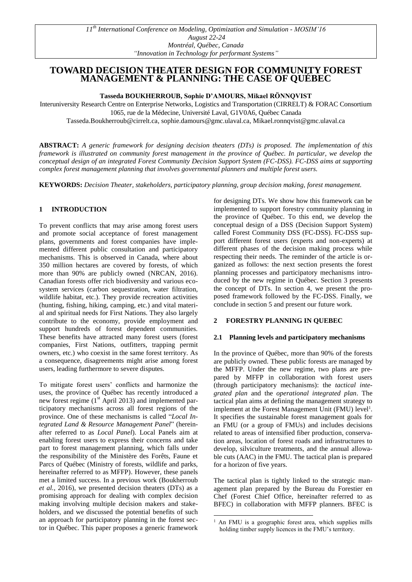# **TOWARD DECISION THEATER DESIGN FOR COMMUNITY FOREST MANAGEMENT & PLANNING: THE CASE OF QUÉBEC**

**Tasseda BOUKHERROUB, Sophie D'AMOURS, Mikael RÖNNQVIST**

Interuniversity Research Centre on Enterprise Networks, Logistics and Transportation (CIRRELT) & FORAC Consortium 1065, rue de la Médecine, Université Laval, G1V0A6, Québec Canada

Tasseda.Boukherroub@cirrelt.ca, sophie.damours@gmc.ulaval.ca, Mikael.ronnqvist@gmc.ulaval.ca

**ABSTRACT:** *A generic framework for designing decision theaters (DTs) is proposed. The implementation of this framework is illustrated on community forest management in the province of Québec. In particular, we develop the conceptual design of an integrated Forest Community Decision Support System (FC-DSS). FC-DSS aims at supporting complex forest management planning that involves governmental planners and multiple forest users.* 

-

**KEYWORDS:** *Decision Theater, stakeholders, participatory planning, group decision making, forest management.*

### **1 INTRODUCTION**

To prevent conflicts that may arise among forest users and promote social acceptance of forest management plans, governments and forest companies have implemented different public consultation and participatory mechanisms. This is observed in Canada, where about 350 million hectares are covered by forests, of which more than 90% are publicly owned (NRCAN, 2016). Canadian forests offer rich biodiversity and various ecosystem services (carbon sequestration, water filtration, wildlife habitat, etc.). They provide recreation activities (hunting, fishing, hiking, camping, etc.) and vital material and spiritual needs for First Nations. They also largely contribute to the economy, provide employment and support hundreds of forest dependent communities. These benefits have attracted many forest users (forest companies, First Nations, outfitters, trapping permit owners, etc.) who coexist in the same forest territory. As a consequence, disagreements might arise among forest users, leading furthermore to severe disputes.

To mitigate forest users' conflicts and harmonize the uses, the province of Québec has recently introduced a new forest regime  $(1<sup>st</sup>$  April 2013) and implemented participatory mechanisms across all forest regions of the province. One of these mechanisms is called "*Local Integrated Land & Resource Management Panel*" (hereinafter referred to as *Local Panel*). Local Panels aim at enabling forest users to express their concerns and take part to forest management planning, which falls under the responsibility of the Ministère des Forêts, Faune et Parcs of Québec (Ministry of forests, wildlife and parks, hereinafter referred to as MFFP). However, these panels met a limited success. In a previous work (Boukherroub *et al.*, 2016), we presented decision theaters (DTs) as a promising approach for dealing with complex decision making involving multiple decision makers and stakeholders, and we discussed the potential benefits of such an approach for participatory planning in the forest sector in Québec. This paper proposes a generic framework for designing DTs. We show how this framework can be implemented to support forestry community planning in the province of Québec. To this end, we develop the conceptual design of a DSS (Decision Support System) called Forest Community DSS (FC-DSS). FC-DSS support different forest users (experts and non-experts) at different phases of the decision making process while respecting their needs. The reminder of the article is organized as follows: the next section presents the forest planning processes and participatory mechanisms introduced by the new regime in Québec. Section 3 presents the concept of DTs. In section 4, we present the proposed framework followed by the FC-DSS. Finally, we conclude in section 5 and present our future work.

### **2 FORESTRY PLANNING IN QUEBEC**

#### **2.1 Planning levels and participatory mechanisms**

In the province of Québec, more than 90% of the forests are publicly owned. These public forests are managed by the MFFP. Under the new regime, two plans are prepared by MFFP in collaboration with forest users (through participatory mechanisms): the *tactical integrated plan* and the *operational integrated plan*. The tactical plan aims at defining the management strategy to implement at the Forest Management Unit (FMU) level<sup>1</sup>. It specifies the sustainable forest management goals for an FMU (or a group of FMUs) and includes decisions related to areas of intensified fiber production, conservation areas, location of forest roads and infrastructures to develop, silviculture treatments, and the annual allowable cuts (AAC) in the FMU. The tactical plan is prepared for a horizon of five years.

The tactical plan is tightly linked to the strategic management plan prepared by the Bureau du Forestier en Chef (Forest Chief Office, hereinafter referred to as BFEC) in collaboration with MFFP planners. BFEC is

<sup>&</sup>lt;sup>1</sup> An FMU is a geographic forest area, which supplies mills holding timber supply licences in the FMU's territory.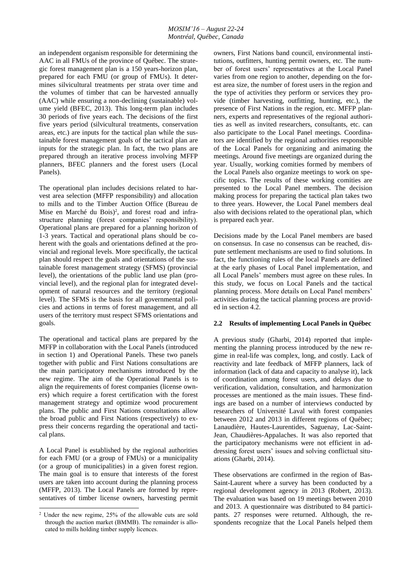an independent organism responsible for determining the AAC in all FMUs of the province of Québec. The strategic forest management plan is a 150 years-horizon plan, prepared for each FMU (or group of FMUs). It determines silvicultural treatments per strata over time and the volumes of timber that can be harvested annually (AAC) while ensuring a non-declining (sustainable) volume yield (BFEC, 2013). This long-term plan includes 30 periods of five years each. The decisions of the first five years period (silvicultural treatments, conservation areas, etc.) are inputs for the tactical plan while the sustainable forest management goals of the tactical plan are inputs for the strategic plan. In fact, the two plans are prepared through an iterative process involving MFFP planners, BFEC planners and the forest users (Local Panels).

The operational plan includes decisions related to harvest area selection (MFFP responsibility) and allocation to mills and to the Timber Auction Office (Bureau de Mise en Marché du Bois)<sup>2</sup>, and forest road and infrastructure planning (forest companies' responsibility). Operational plans are prepared for a planning horizon of 1-3 years. Tactical and operational plans should be coherent with the goals and orientations defined at the provincial and regional levels. More specifically, the tactical plan should respect the goals and orientations of the sustainable forest management strategy (SFMS) (provincial level), the orientations of the public land use plan (provincial level), and the regional plan for integrated development of natural resources and the territory (regional level). The SFMS is the basis for all governmental policies and actions in terms of forest management, and all users of the territory must respect SFMS orientations and goals.

The operational and tactical plans are prepared by the MFFP in collaboration with the Local Panels (introduced in section 1) and Operational Panels. These two panels together with public and First Nations consultations are the main participatory mechanisms introduced by the new regime. The aim of the Operational Panels is to align the requirements of forest companies (license owners) which require a forest certification with the forest management strategy and optimize wood procurement plans. The public and First Nations consultations allow the broad public and First Nations (respectively) to express their concerns regarding the operational and tactical plans.

A Local Panel is established by the regional authorities for each FMU (or a group of FMUs) or a municipality (or a group of municipalities) in a given forest region. The main goal is to ensure that interests of the forest users are taken into account during the planning process (MFFP, 2013). The Local Panels are formed by representatives of timber license owners, harvesting permit

-

owners, First Nations band council, environmental institutions, outfitters, hunting permit owners, etc. The number of forest users' representatives at the Local Panel varies from one region to another, depending on the forest area size, the number of forest users in the region and the type of activities they perform or services they provide (timber harvesting, outfitting, hunting, etc.), the presence of First Nations in the region, etc. MFFP planners, experts and representatives of the regional authorities as well as invited researchers, consultants, etc. can also participate to the Local Panel meetings. Coordinators are identified by the regional authorities responsible of the Local Panels for organizing and animating the meetings. Around five meetings are organized during the year. Usually, working comities formed by members of the Local Panels also organize meetings to work on specific topics. The results of these working comities are presented to the Local Panel members. The decision making process for preparing the tactical plan takes two to three years. However, the Local Panel members deal also with decisions related to the operational plan, which is prepared each year.

Decisions made by the Local Panel members are based on consensus. In case no consensus can be reached, dispute settlement mechanisms are used to find solutions. In fact, the functioning rules of the local Panels are defined at the early phases of Local Panel implementation, and all Local Panels' members must agree on these rules. In this study, we focus on Local Panels and the tactical planning process. More details on Local Panel members' activities during the tactical planning process are provided in section 4.2.

#### **2.2 Results of implementing Local Panels in Québec**

A previous study (Gharbi, 2014) reported that implementing the planning process introduced by the new regime in real-life was complex, long, and costly. Lack of reactivity and late feedback of MFFP planners, lack of information (lack of data and capacity to analyse it), lack of coordination among forest users, and delays due to verification, validation, consultation, and harmonization processes are mentioned as the main issues. These findings are based on a number of interviews conducted by researchers of Université Laval with forest companies between 2012 and 2013 in different regions of Québec; Lanaudière, Hautes-Laurentides, Saguenay, Lac-Saint-Jean, Chaudières-Appalaches. It was also reported that the participatory mechanisms were not efficient in addressing forest users' issues and solving conflictual situations (Gharbi, 2014).

These observations are confirmed in the region of Bas-Saint-Laurent where a survey has been conducted by a regional development agency in 2013 (Robert, 2013). The evaluation was based on 19 meetings between 2010 and 2013. A questionnaire was distributed to 84 participants. 27 responses were returned. Although, the respondents recognize that the Local Panels helped them

<sup>2</sup> Under the new regime, 25% of the allowable cuts are sold through the auction market (BMMB). The remainder is allocated to mills holding timber supply licences.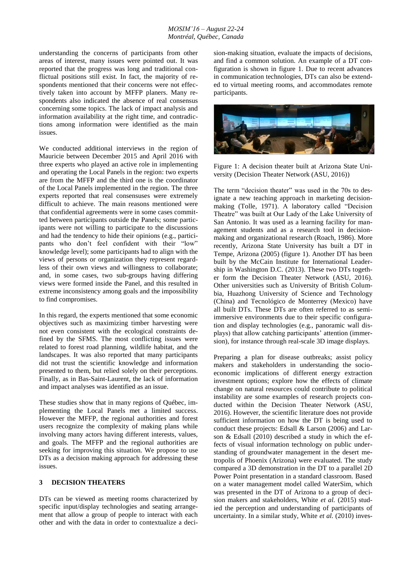understanding the concerns of participants from other areas of interest, many issues were pointed out. It was reported that the progress was long and traditional conflictual positions still exist. In fact, the majority of respondents mentioned that their concerns were not effectively taken into account by MFFP planers. Many respondents also indicated the absence of real consensus concerning some topics. The lack of impact analysis and information availability at the right time, and contradictions among information were identified as the main issues.

We conducted additional interviews in the region of Mauricie between December 2015 and April 2016 with three experts who played an active role in implementing and operating the Local Panels in the region: two experts are from the MFFP and the third one is the coordinator of the Local Panels implemented in the region. The three experts reported that real consensuses were extremely difficult to achieve. The main reasons mentioned were that confidential agreements were in some cases committed between participants outside the Panels; some participants were not willing to participate to the discussions and had the tendency to hide their opinions (e.g., participants who don't feel confident with their "low" knowledge level); some participants had to align with the views of persons or organization they represent regardless of their own views and willingness to collaborate; and, in some cases, two sub-groups having differing views were formed inside the Panel, and this resulted in extreme inconsistency among goals and the impossibility to find compromises.

In this regard, the experts mentioned that some economic objectives such as maximizing timber harvesting were not even consistent with the ecological constraints defined by the SFMS. The most conflicting issues were related to forest road planning, wildlife habitat, and the landscapes. It was also reported that many participants did not trust the scientific knowledge and information presented to them, but relied solely on their perceptions. Finally, as in Bas-Saint-Laurent, the lack of information and impact analyses was identified as an issue.

These studies show that in many regions of Québec, implementing the Local Panels met a limited success. However the MFFP, the regional authorities and forest users recognize the complexity of making plans while involving many actors having different interests, values, and goals. The MFFP and the regional authorities are seeking for improving this situation. We propose to use DTs as a decision making approach for addressing these issues.

### **3 DECISION THEATERS**

DTs can be viewed as meeting rooms characterized by specific input/display technologies and seating arrangement that allow a group of people to interact with each other and with the data in order to contextualize a decision-making situation, evaluate the impacts of decisions, and find a common solution. An example of a DT configuration is shown in figure 1. Due to recent advances in communication technologies, DTs can also be extended to virtual meeting rooms, and accommodates remote participants.



Figure 1: A decision theater built at Arizona State University (Decision Theater Network (ASU, 2016))

The term "decision theater" was used in the 70s to designate a new teaching approach in marketing decisionmaking (Tolle, 1971). A laboratory called "Decision Theatre" was built at Our Lady of the Lake University of San Antonio. It was used as a learning facility for management students and as a research tool in decisionmaking and organizational research (Roach, 1986). More recently, Arizona State University has built a DT in Tempe, Arizona (2005) (figure 1). Another DT has been built by the McCain Institute for International Leadership in Washington D.C. (2013). These two DTs together form the Decision Theater Network (ASU, 2016). Other universities such as University of British Columbia, Huazhong University of Science and Technology (China) and Tecnológico de Monterrey (Mexico) have all built DTs. These DTs are often referred to as semiimmersive environments due to their specific configuration and display technologies (e.g., panoramic wall displays) that allow catching participants' attention (immersion), for instance through real-scale 3D image displays.

Preparing a plan for disease outbreaks; assist policy makers and stakeholders in understanding the socioeconomic implications of different energy extraction investment options; explore how the effects of climate change on natural resources could contribute to political instability are some examples of research projects conducted within the Decision Theater Network (ASU, 2016). However, the scientific literature does not provide sufficient information on how the DT is being used to conduct these projects: Edsall & Larson (2006) and Larson & Edsall (2010) described a study in which the effects of visual information technology on public understanding of groundwater management in the desert metropolis of Phoenix (Arizona) were evaluated. The study compared a 3D demonstration in the DT to a parallel 2D Power Point presentation in a standard classroom. Based on a water management model called WaterSim, which was presented in the DT of Arizona to a group of decision makers and stakeholders, White *et al.* (2015) studied the perception and understanding of participants of uncertainty. In a similar study, White *et al.* (2010) inves-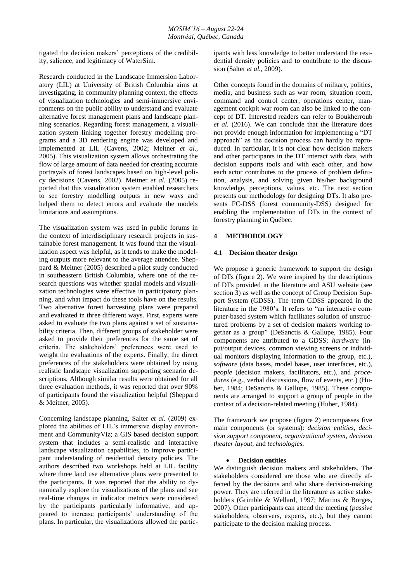tigated the decision makers' perceptions of the credibility, salience, and legitimacy of WaterSim.

Research conducted in the Landscape Immersion Laboratory (LIL) at University of British Columbia aims at investigating, in community planning context, the effects of visualization technologies and semi-immersive environments on the public ability to understand and evaluate alternative forest management plans and landscape planning scenarios. Regarding forest management, a visualization system linking together forestry modelling programs and a 3D rendering engine was developed and implemented at LIL (Cavens, 2002; Meitner *et al.*, 2005). This visualization system allows orchestrating the flow of large amount of data needed for creating accurate portrayals of forest landscapes based on high-level policy decisions (Cavens, 2002). Meitner *et al.* (2005) reported that this visualization system enabled researchers to see forestry modelling outputs in new ways and helped them to detect errors and evaluate the models limitations and assumptions.

The visualization system was used in public forums in the context of interdisciplinary research projects in sustainable forest management. It was found that the visualization aspect was helpful, as it tends to make the modeling outputs more relevant to the average attendee. Sheppard & Meitner (2005) described a pilot study conducted in southeastern British Columbia, where one of the research questions was whether spatial models and visualization technologies were effective in participatory planning, and what impact do these tools have on the results. Two alternative forest harvesting plans were prepared and evaluated in three different ways. First, experts were asked to evaluate the two plans against a set of sustainability criteria. Then, different groups of stakeholder were asked to provide their preferences for the same set of criteria. The stakeholders' preferences were used to weight the evaluations of the experts. Finally, the direct preferences of the stakeholders were obtained by using realistic landscape visualization supporting scenario descriptions. Although similar results were obtained for all three evaluation methods, it was reported that over 90% of participants found the visualization helpful (Sheppard & Meitner, 2005).

Concerning landscape planning, Salter *et al.* (2009) explored the abilities of LIL's immersive display environment and CommunityViz; a GIS based decision support system that includes a semi-realistic and interactive landscape visualization capabilities, to improve participant understanding of residential density policies. The authors described two workshops held at LIL facility where three land use alternative plans were presented to the participants. It was reported that the ability to dynamically explore the visualizations of the plans and see real-time changes in indicator metrics were considered by the participants particularly informative, and appeared to increase participants' understanding of the plans. In particular, the visualizations allowed the participants with less knowledge to better understand the residential density policies and to contribute to the discussion (Salter *et al.*, 2009).

Other concepts found in the domains of military, politics, media, and business such as war room, situation room, command and control center, operations center, management cockpit war room can also be linked to the concept of DT. Interested readers can refer to Boukherroub *et al.* (2016). We can conclude that the literature does not provide enough information for implementing a "DT approach" as the decision process can hardly be reproduced. In particular, it is not clear how decision makers and other participants in the DT interact with data, with decision supports tools and with each other, and how each actor contributes to the process of problem definition, analysis, and solving given his/her background knowledge, perceptions, values, etc. The next section presents our methodology for designing DTs. It also presents FC-DSS (forest community-DSS) designed for enabling the implementation of DTs in the context of forestry planning in Québec.

### **4 METHODOLOGY**

#### **4.1 Decision theater design**

We propose a generic framework to support the design of DTs (figure 2). We were inspired by the descriptions of DTs provided in the literature and ASU website (see section 3) as well as the concept of Group Decision Support System (GDSS). The term GDSS appeared in the literature in the 1980's. It refers to "an interactive computer-based system which facilitates solution of unstructured problems by a set of decision makers working together as a group" (DeSanctis & Gallupe, 1985). Four components are attributed to a GDSS; *hardware* (input/output devices, common viewing screens or individual monitors displaying information to the group, etc.), *software* (data bases, model bases, user interfaces, etc.), *people* (decision makers, facilitators, etc.), and *procedures* (e.g., verbal discussions, flow of events, etc.) (Huber, 1984; DeSanctis & Gallupe, 1985). These components are arranged to support a group of people in the context of a decision-related meeting (Huber, 1984).

The framework we propose (figure 2) encompasses five main components (or systems): *decision entities*, *decision support component*, *organizational system*, *decision theater layout*, and *technologies*.

#### **Decision entities**

We distinguish decision makers and stakeholders. The stakeholders considered are those who are directly affected by the decisions and who share decision-making power. They are referred in the literature as active stakeholders (Grimble & Wellard, 1997; Martins & Borges, 2007). Other participants can attend the meeting (*passive* stakeholders, observers, experts, etc.), but they cannot participate to the decision making process.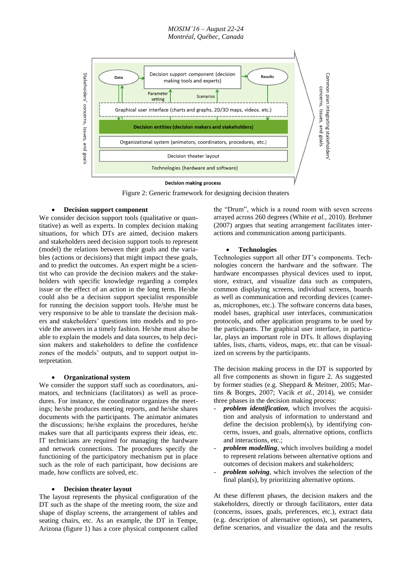#### *MOSIM'16 – August 22-24 Montréal, Québec, Canada*



Figure 2: Generic framework for designing decision theaters

### **Decision support component**

We consider decision support tools (qualitative or quantitative) as well as experts. In complex decision making situations, for which DTs are aimed, decision makers and stakeholders need decision support tools to represent (model) the relations between their goals and the variables (actions or decisions) that might impact these goals, and to predict the outcomes. An expert might be a scientist who can provide the decision makers and the stakeholders with specific knowledge regarding a complex issue or the effect of an action in the long term. He/she could also be a decision support specialist responsible for running the decision support tools. He/she must be very responsive to be able to translate the decision makers and stakeholders' questions into models and to provide the answers in a timely fashion. He/she must also be able to explain the models and data sources, to help decision makers and stakeholders to define the confidence zones of the models' outputs, and to support output interpretation.

## **Organizational system**

We consider the support staff such as coordinators, animators, and technicians (facilitators) as well as procedures. For instance, the coordinator organizes the meetings; he/she produces meeting reports, and he/she shares documents with the participants. The animator animates the discussions; he/she explains the procedures, he/she makes sure that all participants express their ideas, etc. IT technicians are required for managing the hardware and network connections. The procedures specify the functioning of the participatory mechanism put in place such as the role of each participant, how decisions are made, how conflicts are solved, etc.

### **Decision theater layout**

The layout represents the physical configuration of the DT such as the shape of the meeting room, the size and shape of display screens, the arrangement of tables and seating chairs, etc. As an example, the DT in Tempe, Arizona (figure 1) has a core physical component called

the "Drum", which is a round room with seven screens arrayed across 260 degrees (White *et al.*, 2010). Brehmer (2007) argues that seating arrangement facilitates interactions and communication among participants.

### **Technologies**

Technologies support all other DT's components. Technologies concern the hardware and the software. The hardware encompasses physical devices used to input, store, extract, and visualize data such as computers, common displaying screens, individual screens, boards as well as communication and recording devices (cameras, microphones, etc.). The software concerns data bases, model bases, graphical user interfaces, communication protocols, and other application programs to be used by the participants. The graphical user interface, in particular, plays an important role in DTs. It allows displaying tables, lists, charts, videos, maps, etc. that can be visualized on screens by the participants.

The decision making process in the DT is supported by all five components as shown in figure 2. As suggested by former studies (e.g. Sheppard & Meitner, 2005; Martins & Borges, 2007; Vacik *et al.*, 2014), we consider three phases in the decision making process:

- *problem identification*, which involves the acquisition and analysis of information to understand and define the decision problem(s), by identifying concerns, issues, and goals, alternative options, conflicts and interactions, etc.;
- problem modelling, which involves building a model to represent relations between alternative options and outcomes of decision makers and stakeholders;
- problem solving, which involves the selection of the final plan(s), by prioritizing alternative options.

At these different phases, the decision makers and the stakeholders, directly or through facilitators, enter data (concerns, issues, goals, preferences, etc.), extract data (e.g. description of alternative options), set parameters, define scenarios, and visualize the data and the results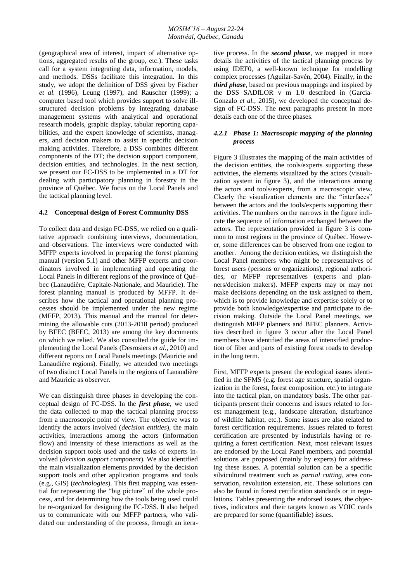(geographical area of interest, impact of alternative options, aggregated results of the group, etc.). These tasks call for a system integrating data, information, models, and methods. DSSs facilitate this integration. In this study, we adopt the definition of DSS given by Fischer *et al.* (1996), Leung (1997), and Rauscher (1999); a computer based tool which provides support to solve illstructured decision problems by integrating database management systems with analytical and operational research models, graphic display, tabular reporting capabilities, and the expert knowledge of scientists, managers, and decision makers to assist in specific decision making activities. Therefore, a DSS combines different components of the DT; the decision support component, decision entities, and technologies. In the next section, we present our FC-DSS to be implemented in a DT for dealing with participatory planning in forestry in the province of Québec. We focus on the Local Panels and the tactical planning level.

### **4.2 Conceptual design of Forest Community DSS**

To collect data and design FC-DSS, we relied on a qualitative approach combining interviews, documentation, and observations. The interviews were conducted with MFFP experts involved in preparing the forest planning manual (version 5.1) and other MFFP experts and coordinators involved in implementing and operating the Local Panels in different regions of the province of Québec (Lanaudière, Capitale-Nationale, and Mauricie). The forest planning manual is produced by MFFP. It describes how the tactical and operational planning processes should be implemented under the new regime (MFFP, 2013). This manual and the manual for determining the allowable cuts (2013-2018 period) produced by BFEC (BFEC, 2013) are among the key documents on which we relied. We also consulted the guide for implementing the Local Panels (Desrosiers *et al.*, 2010) and different reports on Local Panels meetings (Mauricie and Lanaudière regions). Finally, we attended two meetings of two distinct Local Panels in the regions of Lanaudière and Mauricie as observer.

We can distinguish three phases in developing the conceptual design of FC-DSS. In the *first phase*, we used the data collected to map the tactical planning process from a macroscopic point of view. The objective was to identify the actors involved (*decision entities*), the main activities, interactions among the actors (information flow) and intensity of these interactions as well as the decision support tools used and the tasks of experts involved (*decision support component*). We also identified the main visualization elements provided by the decision support tools and other application programs and tools (e.g., GIS) (*technologies*). This first mapping was essential for representing the "big picture" of the whole process, and for determining how the tools being used could be re-organized for designing the FC-DSS. It also helped us to communicate with our MFFP partners, who validated our understanding of the process, through an iterative process. In the *second phase*, we mapped in more details the activities of the tactical planning process by using IDEF0, a well-known technique for modelling complex processes (Aguilar-Savén, 2004). Finally, in the *third phase*, based on previous mappings and inspired by the DSS SADfLOR v m 1.0 described in (Garcia-Gonzalo *et al.*, 2015), we developed the conceptual design of FC-DSS. The next paragraphs present in more details each one of the three phases.

### *4.2.1 Phase 1: Macroscopic mapping of the planning process*

Figure 3 illustrates the mapping of the main activities of the decision entities, the tools/experts supporting these activities, the elements visualized by the actors (visualization system in figure 3), and the interactions among the actors and tools/experts, from a macroscopic view. Clearly the visualization elements are the "interfaces" between the actors and the tools/experts supporting their activities. The numbers on the narrows in the figure indicate the sequence of information exchanged between the actors. The representation provided in figure 3 is common to most regions in the province of Québec. However, some differences can be observed from one region to another. Among the decision entities, we distinguish the Local Panel members who might be representatives of forest users (persons or organizations), regional authorities, or MFFP representatives (experts and planners/decision makers). MFFP experts may or may not make decisions depending on the task assigned to them, which is to provide knowledge and expertise solely or to provide both knowledge/expertise and participate to decision making. Outside the Local Panel meetings, we distinguish MFFP planners and BFEC planners. Activities described in figure 3 occur after the Local Panel members have identified the areas of intensified production of fiber and parts of existing forest roads to develop in the long term.

First, MFFP experts present the ecological issues identified in the SFMS (e.g. forest age structure, spatial organization in the forest, forest composition, etc.) to integrate into the tactical plan, on mandatory basis. The other participants present their concerns and issues related to forest management (e.g., landscape alteration, disturbance of wildlife habitat, etc.). Some issues are also related to forest certification requirements. Issues related to forest certification are presented by industrials having or requiring a forest certification. Next, most relevant issues are endorsed by the Local Panel members, and potential solutions are proposed (mainly by experts) for addressing these issues. A potential solution can be a specific silvicultural treatment such as *partial cutting*, area conservation, revolution extension, etc. These solutions can also be found in forest certification standards or in regulations. Tables presenting the endorsed issues, the objectives, indicators and their targets known as VOIC cards are prepared for some (quantifiable) issues.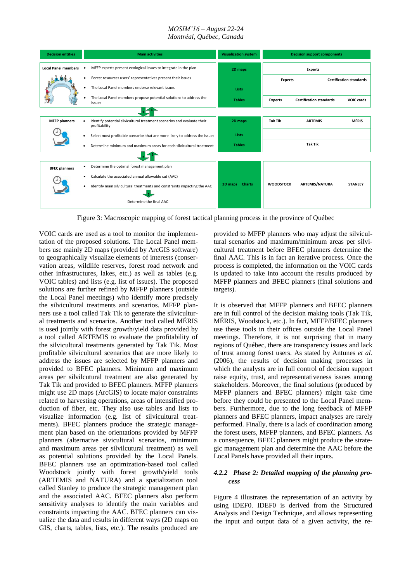#### *MOSIM'16 – August 22-24 Montréal, Québec, Canada*



Figure 3: Macroscopic mapping of forest tactical planning process in the province of Québec

VOIC cards are used as a tool to monitor the implementation of the proposed solutions. The Local Panel members use mainly 2D maps (provided by ArcGIS software) to geographically visualize elements of interests (conservation areas, wildlife reserves, forest road network and other infrastructures, lakes, etc.) as well as tables (e.g. VOIC tables) and lists (e.g. list of issues). The proposed solutions are further refined by MFFP planners (outside the Local Panel meetings) who identify more precisely the silvicultural treatments and scenarios. MFFP planners use a tool called Tak Tik to generate the silvicultural treatments and scenarios. Another tool called MÉRIS is used jointly with forest growth/yield data provided by a tool called ARTEMIS to evaluate the profitability of the silvicultural treatments generated by Tak Tik. Most profitable silvicultural scenarios that are more likely to address the issues are selected by MFFP planners and provided to BFEC planners. Minimum and maximum areas per silvilcutural treatment are also generated by Tak Tik and provided to BFEC planners. MFFP planners might use 2D maps (ArcGIS) to locate major constraints related to harvesting operations, areas of intensified production of fiber, etc. They also use tables and lists to visualize information (e.g. list of silvicultural treatments). BFEC planners produce the strategic management plan based on the orientations provided by MFFP planners (alternative sivicultural scenarios, minimum and maximum areas per silvilcutural treatment) as well as potential solutions provided by the Local Panels. BFEC planners use an optimization-based tool called Woodstock jointly with forest growth/yield tools (ARTEMIS and NATURA) and a spatialization tool called Stanley to produce the strategic management plan and the associated AAC. BFEC planners also perform sensitivity analyses to identify the main variables and constraints impacting the AAC. BFEC planners can visualize the data and results in different ways (2D maps on GIS, charts, tables, lists, etc.). The results produced are

provided to MFFP planners who may adjust the silvicultural scenarios and maximum/minimum areas per silvicultural treatment before BFEC planners determine the final AAC. This is in fact an iterative process. Once the process is completed, the information on the VOIC cards is updated to take into account the results produced by MFFP planners and BFEC planners (final solutions and targets).

It is observed that MFFP planners and BFEC planners are in full control of the decision making tools (Tak Tik, MÉRIS, Woodstock, etc.). In fact, MFFP/BFEC planners use these tools in their offices outside the Local Panel meetings. Therefore, it is not surprising that in many regions of Québec, there are transparency issues and lack of trust among forest users. As stated by Antunes *et al.* (2006), the results of decision making processes in which the analysts are in full control of decision support raise equity, trust, and representativeness issues among stakeholders. Moreover, the final solutions (produced by MFFP planners and BFEC planners) might take time before they could be presented to the Local Panel members. Furthermore, due to the long feedback of MFFP planners and BFEC planners, impact analyses are rarely performed. Finally, there is a lack of coordination among the forest users, MFFP planners, and BFEC planners. As a consequence, BFEC planners might produce the strategic management plan and determine the AAC before the Local Panels have provided all their inputs.

### *4.2.2 Phase 2: Detailed mapping of the planning process*

Figure 4 illustrates the representation of an activity by using IDEF0. IDEF0 is derived from the Structured Analysis and Design Technique, and allows representing the input and output data of a given activity, the re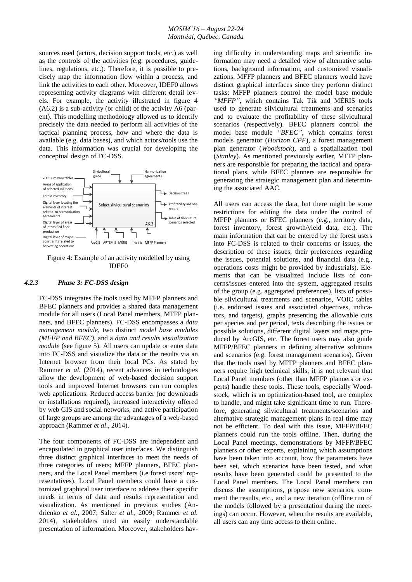sources used (actors, decision support tools, etc.) as well as the controls of the activities (e.g. procedures, guidelines, regulations, etc.). Therefore, it is possible to precisely map the information flow within a process, and link the activities to each other. Moreover, IDEF0 allows representing activity diagrams with different detail levels. For example, the activity illustrated in figure 4 (A6.2) is a sub-activity (or child) of the activity A6 (parent). This modelling methodology allowed us to identify precisely the data needed to perform all activities of the tactical planning process, how and where the data is available (e.g. data bases), and which actors/tools use the data. This information was crucial for developing the conceptual design of FC-DSS.



Figure 4: Example of an activity modelled by using IDEF0

#### *4.2.3 Phase 3: FC-DSS design*

FC-DSS integrates the tools used by MFFP planners and BFEC planners and provides a shared data management module for all users (Local Panel members, MFFP planners, and BFEC planners). FC-DSS encompasses a *data management module*, two distinct *model base modules (MFFP and BFEC)*, and a *data and results visualization module* (see figure 5)*.* All users can update or enter data into FC-DSS and visualize the data or the results via an Internet browser from their local PCs. As stated by Rammer *et al.* (2014), recent advances in technologies allow the development of web-based decision support tools and improved Internet browsers can run complex web applications. Reduced access barrier (no downloads or installations required), increased interactivity offered by web GIS and social networks, and active participation of large groups are among the advantages of a web-based approach (Rammer *et al*., 2014).

The four components of FC-DSS are independent and encapsulated in graphical user interfaces. We distinguish three distinct graphical interfaces to meet the needs of three categories of users; MFFP planners, BFEC planners, and the Local Panel members (i.e forest users' representatives). Local Panel members could have a customized graphical user interface to address their specific needs in terms of data and results representation and visualization. As mentioned in previous studies (Andrienko *et al.*, 2007; Salter *et al.*, 2009; Rammer *et al.* 2014), stakeholders need an easily understandable presentation of information. Moreover, stakeholders having difficulty in understanding maps and scientific information may need a detailed view of alternative solutions, background information, and customized visualizations. MFFP planners and BFEC planners would have distinct graphical interfaces since they perform distinct tasks: MFFP planners control the model base module *"MFFP"*, which contains Tak Tik and MÉRIS tools used to generate silvicultural treatments and scenarios and to evaluate the profitability of these silvicultural scenarios (respectively). BFEC planners control the model base module *"BFEC"*, which contains forest models generator (*Horizon CPF*), a forest management plan generator (*Woodstock*), and a spatialization tool (*Stanley*). As mentioned previously earlier, MFFP planners are responsible for preparing the tactical and operational plans, while BFEC planners are responsible for generating the strategic management plan and determining the associated AAC.

All users can access the data, but there might be some restrictions for editing the data under the control of MFFP planners or BFEC planners (e.g., territory data, forest inventory, forest growth/yield data, etc.). The main information that can be entered by the forest users into FC-DSS is related to their concerns or issues, the description of these issues, their preferences regarding the issues, potential solutions, and financial data (e.g., operations costs might be provided by industrials). Elements that can be visualized include lists of concerns/issues entered into the system, aggregated results of the group (e.g. aggregated preferences), lists of possible silvicultural treatments and scenarios, VOIC tables (i.e. endorsed issues and associated objectives, indicators, and targets), graphs presenting the allowable cuts per species and per period, texts describing the issues or possible solutions, different digital layers and maps produced by ArcGIS, etc. The forest users may also guide MFFP/BFEC planners in defining alternative solutions and scenarios (e.g. forest management scenarios). Given that the tools used by MFFP planners and BFEC planners require high technical skills, it is not relevant that Local Panel members (other than MFFP planners or experts) handle these tools. These tools, especially Woodstock, which is an optimization-based tool, are complex to handle, and might take significant time to run. Therefore, generating silvicultural treatments/scenarios and alternative strategic management plans in real time may not be efficient. To deal with this issue, MFFP/BFEC planners could run the tools offline. Then, during the Local Panel meetings, demonstrations by MFFP/BFEC planners or other experts, explaining which assumptions have been taken into account, how the parameters have been set, which scenarios have been tested, and what results have been generated could be presented to the Local Panel members. The Local Panel members can discuss the assumptions, propose new scenarios, comment the results, etc., and a new iteration (offline run of the models followed by a presentation during the meetings) can occur. However, when the results are available, all users can any time access to them online.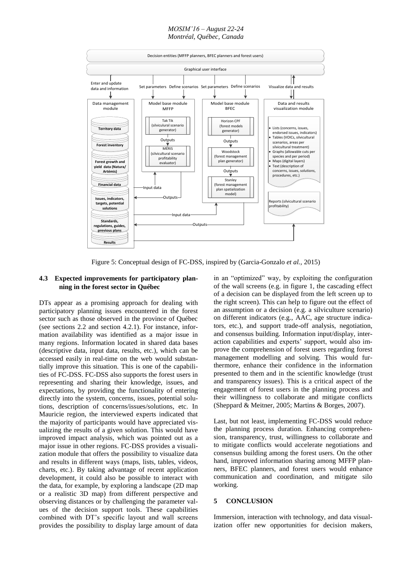#### *MOSIM'16 – August 22-24 Montréal, Québec, Canada*



Figure 5: Conceptual design of FC-DSS, inspired by (Garcia-Gonzalo *et al.,* 2015)

### **4.3 Expected improvements for participatory planning in the forest sector in Québec**

DTs appear as a promising approach for dealing with participatory planning issues encountered in the forest sector such as those observed in the province of Québec (see sections 2.2 and section 4.2.1). For instance, information availability was identified as a major issue in many regions. Information located in shared data bases (descriptive data, input data, results, etc.), which can be accessed easily in real-time on the web would substantially improve this situation. This is one of the capabilities of FC-DSS. FC-DSS also supports the forest users in representing and sharing their knowledge, issues, and expectations, by providing the functionality of entering directly into the system, concerns, issues, potential solutions, description of concerns/issues/solutions, etc. In Mauricie region, the interviewed experts indicated that the majority of participants would have appreciated visualizing the results of a given solution. This would have improved impact analysis, which was pointed out as a major issue in other regions. FC-DSS provides a visualization module that offers the possibility to visualize data and results in different ways (maps, lists, tables, videos, charts, etc.). By taking advantage of recent application development, it could also be possible to interact with the data, for example, by exploring a landscape (2D map or a realistic 3D map) from different perspective and observing distances or by challenging the parameter values of the decision support tools. These capabilities combined with DT's specific layout and wall screens provides the possibility to display large amount of data

in an "optimized" way, by exploiting the configuration of the wall screens (e.g. in figure 1, the cascading effect of a decision can be displayed from the left screen up to the right screen). This can help to figure out the effect of an assumption or a decision (e.g. a silviculture scenario) on different indicators (e.g., AAC, age structure indicators, etc.), and support trade-off analysis, negotiation, and consensus building. Information input/display, interaction capabilities and experts' support, would also improve the comprehension of forest users regarding forest management modelling and solving. This would furthermore, enhance their confidence in the information presented to them and in the scientific knowledge (trust and transparency issues). This is a critical aspect of the engagement of forest users in the planning process and their willingness to collaborate and mitigate conflicts (Sheppard & Meitner, 2005; Martins & Borges, 2007).

Last, but not least, implementing FC-DSS would reduce the planning process duration. Enhancing comprehension, transparency, trust, willingness to collaborate and to mitigate conflicts would accelerate negotiations and consensus building among the forest users. On the other hand, improved information sharing among MFFP planners, BFEC planners, and forest users would enhance communication and coordination, and mitigate silo working.

#### **5 CONCLUSION**

Immersion, interaction with technology, and data visualization offer new opportunities for decision makers,